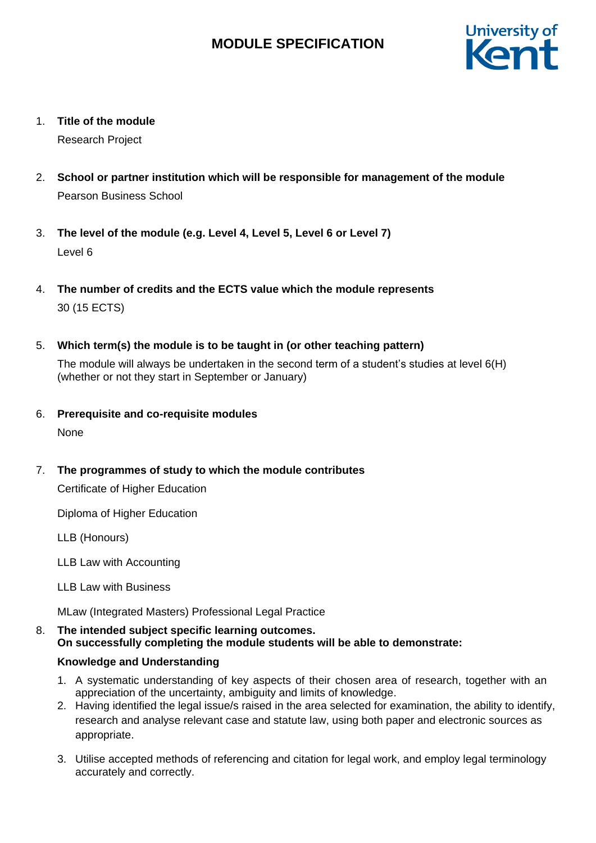

1. **Title of the module**

Research Project

- 2. **School or partner institution which will be responsible for management of the module** Pearson Business School
- 3. **The level of the module (e.g. Level 4, Level 5, Level 6 or Level 7)** Level 6
- 4. **The number of credits and the ECTS value which the module represents**  30 (15 ECTS)
- 5. **Which term(s) the module is to be taught in (or other teaching pattern)**

The module will always be undertaken in the second term of a student's studies at level 6(H) (whether or not they start in September or January)

- 6. **Prerequisite and co-requisite modules** None
- 7. **The programmes of study to which the module contributes**

Certificate of Higher Education

Diploma of Higher Education

LLB (Honours)

LLB Law with Accounting

LLB Law with Business

MLaw (Integrated Masters) Professional Legal Practice

8. **The intended subject specific learning outcomes. On successfully completing the module students will be able to demonstrate:**

## **Knowledge and Understanding**

- 1. A systematic understanding of key aspects of their chosen area of research, together with an appreciation of the uncertainty, ambiguity and limits of knowledge.
- 2. Having identified the legal issue/s raised in the area selected for examination, the ability to identify, research and analyse relevant case and statute law, using both paper and electronic sources as appropriate.
- 3. Utilise accepted methods of referencing and citation for legal work, and employ legal terminology accurately and correctly.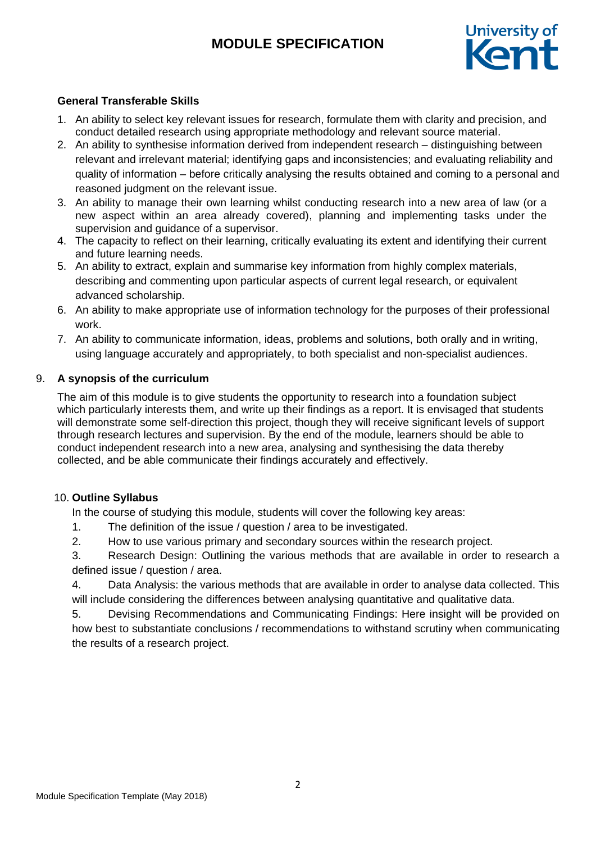

## **General Transferable Skills**

- 1. An ability to select key relevant issues for research, formulate them with clarity and precision, and conduct detailed research using appropriate methodology and relevant source material.
- 2. An ability to synthesise information derived from independent research distinguishing between relevant and irrelevant material; identifying gaps and inconsistencies; and evaluating reliability and quality of information – before critically analysing the results obtained and coming to a personal and reasoned judgment on the relevant issue.
- 3. An ability to manage their own learning whilst conducting research into a new area of law (or a new aspect within an area already covered), planning and implementing tasks under the supervision and guidance of a supervisor.
- 4. The capacity to reflect on their learning, critically evaluating its extent and identifying their current and future learning needs.
- 5. An ability to extract, explain and summarise key information from highly complex materials, describing and commenting upon particular aspects of current legal research, or equivalent advanced scholarship.
- 6. An ability to make appropriate use of information technology for the purposes of their professional work.
- 7. An ability to communicate information, ideas, problems and solutions, both orally and in writing, using language accurately and appropriately, to both specialist and non-specialist audiences.

### 9. **A synopsis of the curriculum**

The aim of this module is to give students the opportunity to research into a foundation subject which particularly interests them, and write up their findings as a report. It is envisaged that students will demonstrate some self-direction this project, though they will receive significant levels of support through research lectures and supervision. By the end of the module, learners should be able to conduct independent research into a new area, analysing and synthesising the data thereby collected, and be able communicate their findings accurately and effectively.

## 10. **Outline Syllabus**

In the course of studying this module, students will cover the following key areas:

- 1. The definition of the issue / question / area to be investigated.
- 2. How to use various primary and secondary sources within the research project.

3. Research Design: Outlining the various methods that are available in order to research a defined issue / question / area.

4. Data Analysis: the various methods that are available in order to analyse data collected. This will include considering the differences between analysing quantitative and qualitative data.

5. Devising Recommendations and Communicating Findings: Here insight will be provided on how best to substantiate conclusions / recommendations to withstand scrutiny when communicating the results of a research project.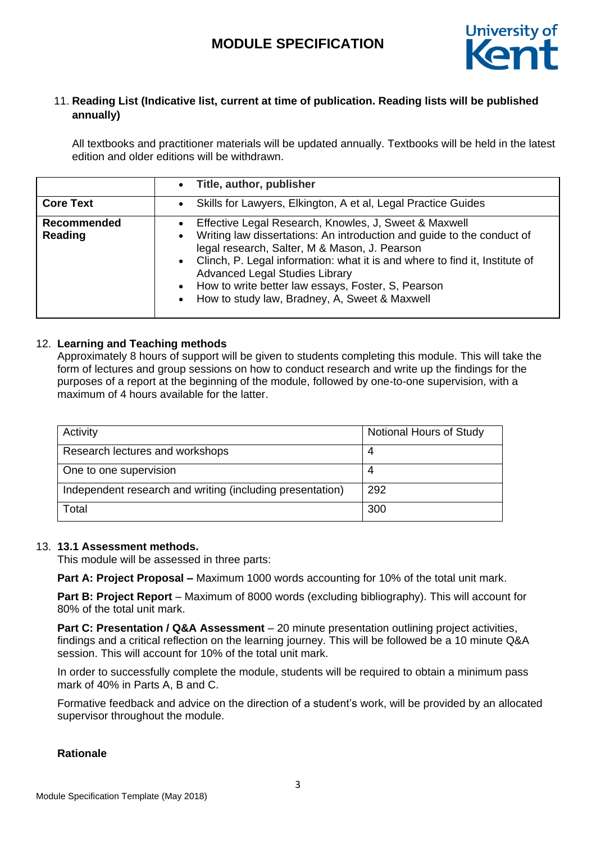

# 11. **Reading List (Indicative list, current at time of publication. Reading lists will be published annually)**

All textbooks and practitioner materials will be updated annually. Textbooks will be held in the latest edition and older editions will be withdrawn.

|                        | Title, author, publisher<br>$\bullet$                                                                                                                                                                                                                                                                                                                                                                                            |
|------------------------|----------------------------------------------------------------------------------------------------------------------------------------------------------------------------------------------------------------------------------------------------------------------------------------------------------------------------------------------------------------------------------------------------------------------------------|
| <b>Core Text</b>       | Skills for Lawyers, Elkington, A et al, Legal Practice Guides<br>$\bullet$                                                                                                                                                                                                                                                                                                                                                       |
| Recommended<br>Reading | Effective Legal Research, Knowles, J, Sweet & Maxwell<br>$\bullet$<br>Writing law dissertations: An introduction and guide to the conduct of<br>legal research, Salter, M & Mason, J. Pearson<br>• Clinch, P. Legal information: what it is and where to find it, Institute of<br><b>Advanced Legal Studies Library</b><br>• How to write better law essays, Foster, S, Pearson<br>How to study law, Bradney, A, Sweet & Maxwell |

## 12. **Learning and Teaching methods**

Approximately 8 hours of support will be given to students completing this module. This will take the form of lectures and group sessions on how to conduct research and write up the findings for the purposes of a report at the beginning of the module, followed by one-to-one supervision, with a maximum of 4 hours available for the latter.

| Activity                                                  | Notional Hours of Study |
|-----------------------------------------------------------|-------------------------|
| Research lectures and workshops                           | 4                       |
| One to one supervision                                    | 4                       |
| Independent research and writing (including presentation) | 292                     |
| Total                                                     | 300                     |

### 13. **13.1 Assessment methods.**

This module will be assessed in three parts:

**Part A: Project Proposal –** Maximum 1000 words accounting for 10% of the total unit mark.

**Part B: Project Report** – Maximum of 8000 words (excluding bibliography). This will account for 80% of the total unit mark.

**Part C: Presentation / Q&A Assessment** – 20 minute presentation outlining project activities, findings and a critical reflection on the learning journey. This will be followed be a 10 minute Q&A session. This will account for 10% of the total unit mark.

In order to successfully complete the module, students will be required to obtain a minimum pass mark of 40% in Parts A, B and C.

Formative feedback and advice on the direction of a student's work, will be provided by an allocated supervisor throughout the module.

### **Rationale**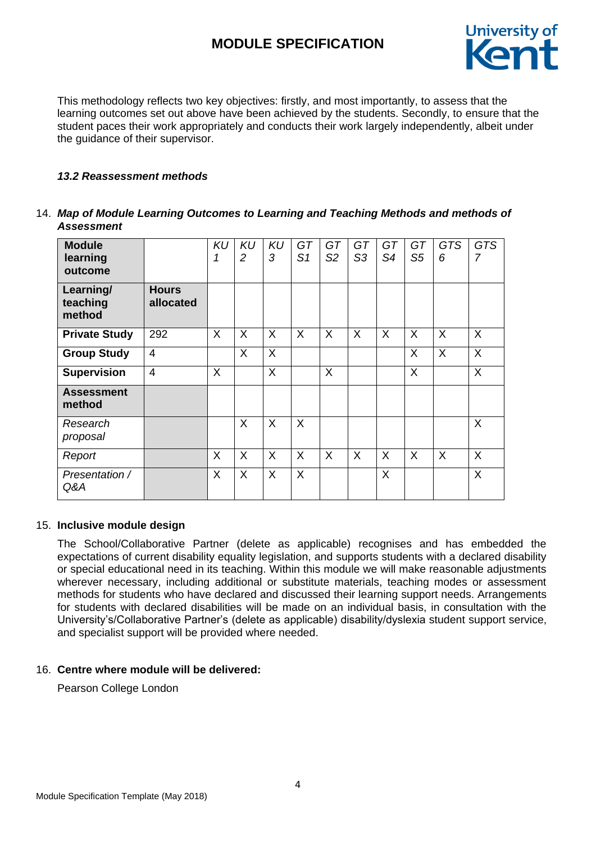

This methodology reflects two key objectives: firstly, and most importantly, to assess that the learning outcomes set out above have been achieved by the students. Secondly, to ensure that the student paces their work appropriately and conducts their work largely independently, albeit under the guidance of their supervisor.

### *13.2 Reassessment methods*

### 14. *Map of Module Learning Outcomes to Learning and Teaching Methods and methods of Assessment*

| <b>Module</b><br>learning<br>outcome |                           | <b>KU</b><br>1 | <b>KU</b><br>2 | <b>KU</b><br>3 | GT<br>S <sub>1</sub> | GT<br>S <sub>2</sub> | GT<br>S <sub>3</sub> | GT<br>S4 | GT<br>S <sub>5</sub> | <b>GTS</b><br>6 | <b>GTS</b><br>7 |
|--------------------------------------|---------------------------|----------------|----------------|----------------|----------------------|----------------------|----------------------|----------|----------------------|-----------------|-----------------|
| Learning/<br>teaching<br>method      | <b>Hours</b><br>allocated |                |                |                |                      |                      |                      |          |                      |                 |                 |
| <b>Private Study</b>                 | 292                       | X              | X              | $\sf X$        | X                    | X                    | X                    | X        | X                    | X               | X               |
| <b>Group Study</b>                   | $\overline{4}$            |                | X              | $\sf X$        |                      |                      |                      |          | X                    | X               | X               |
| <b>Supervision</b>                   | $\overline{4}$            | X              |                | X              |                      | X                    |                      |          | X                    |                 | X               |
| <b>Assessment</b><br>method          |                           |                |                |                |                      |                      |                      |          |                      |                 |                 |
| Research<br>proposal                 |                           |                | $\sf X$        | $\sf X$        | $\sf X$              |                      |                      |          |                      |                 | X               |
| Report                               |                           | X              | X              | X              | X                    | X                    | X                    | X        | X                    | X               | X               |
| Presentation /<br>Q&A                |                           | X              | $\sf X$        | X              | X                    |                      |                      | X        |                      |                 | X               |

### 15. **Inclusive module design**

The School/Collaborative Partner (delete as applicable) recognises and has embedded the expectations of current disability equality legislation, and supports students with a declared disability or special educational need in its teaching. Within this module we will make reasonable adjustments wherever necessary, including additional or substitute materials, teaching modes or assessment methods for students who have declared and discussed their learning support needs. Arrangements for students with declared disabilities will be made on an individual basis, in consultation with the University's/Collaborative Partner's (delete as applicable) disability/dyslexia student support service, and specialist support will be provided where needed.

### 16. **Centre where module will be delivered:**

Pearson College London